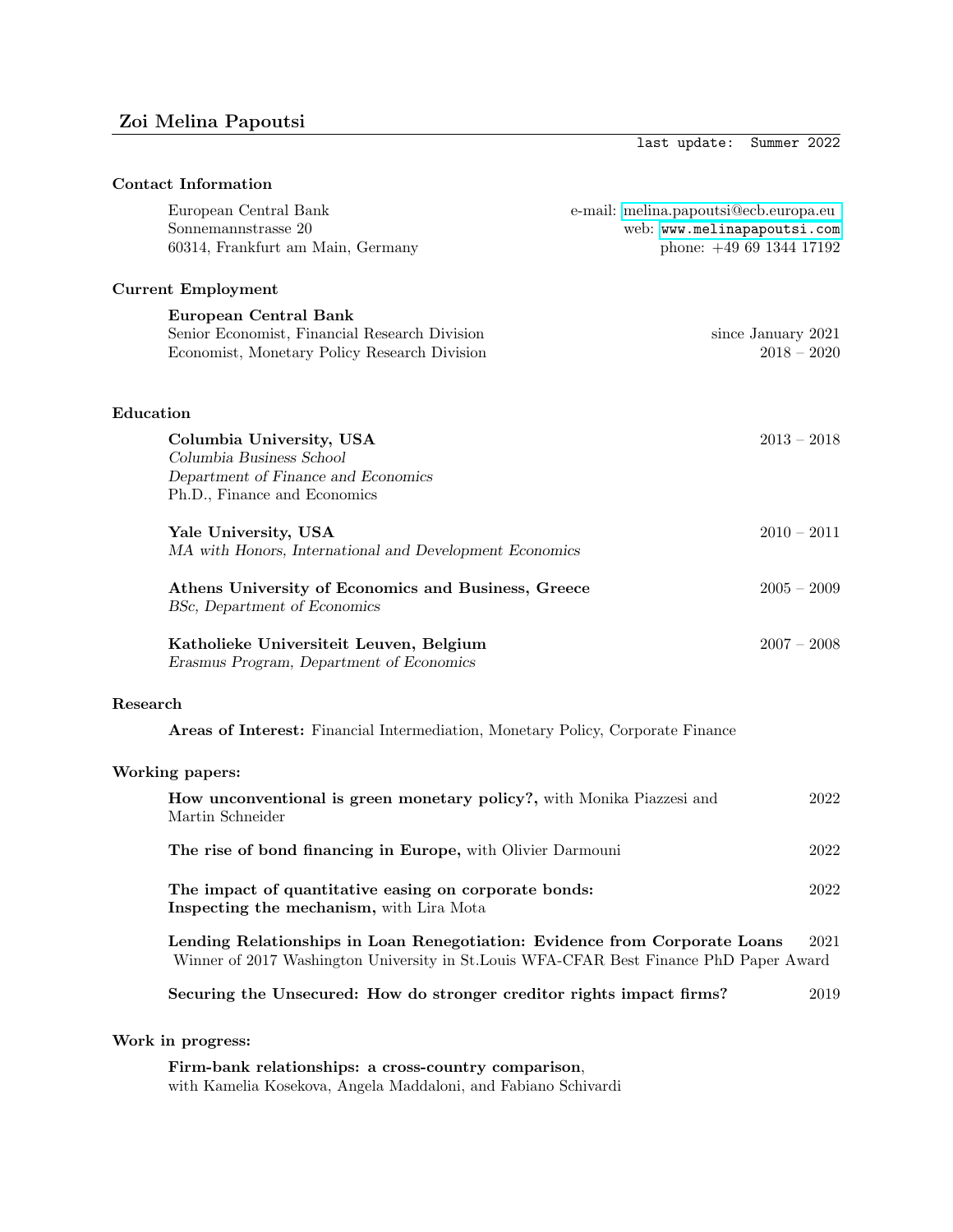last update: Summer 2022

| <b>Contact Information</b>                                                                                                                                            |                                                                                                 |
|-----------------------------------------------------------------------------------------------------------------------------------------------------------------------|-------------------------------------------------------------------------------------------------|
| European Central Bank<br>Sonnemannstrasse 20<br>60314, Frankfurt am Main, Germany                                                                                     | e-mail: melina.papoutsi@ecb.europa.eu<br>web: www.melinapapoutsi.com<br>phone: $+4969134417192$ |
| <b>Current Employment</b>                                                                                                                                             |                                                                                                 |
| <b>European Central Bank</b><br>Senior Economist, Financial Research Division<br>Economist, Monetary Policy Research Division                                         | since January 2021<br>$2018 - 2020$                                                             |
| Education                                                                                                                                                             |                                                                                                 |
| Columbia University, USA<br>Columbia Business School<br>Department of Finance and Economics<br>Ph.D., Finance and Economics                                           | $2013 - 2018$                                                                                   |
| Yale University, USA<br>MA with Honors, International and Development Economics                                                                                       | $2010 - 2011$                                                                                   |
| Athens University of Economics and Business, Greece<br>BSc, Department of Economics                                                                                   | $2005 - 2009$                                                                                   |
| Katholieke Universiteit Leuven, Belgium<br>Erasmus Program, Department of Economics                                                                                   | $2007 - 2008$                                                                                   |
| Research                                                                                                                                                              |                                                                                                 |
| Areas of Interest: Financial Intermediation, Monetary Policy, Corporate Finance                                                                                       |                                                                                                 |
| Working papers:                                                                                                                                                       |                                                                                                 |
| How unconventional is green monetary policy?, with Monika Piazzesi and<br>Martin Schneider                                                                            | 2022                                                                                            |
| The rise of bond financing in Europe, with Olivier Darmouni                                                                                                           | 2022                                                                                            |
| The impact of quantitative easing on corporate bonds:<br>Inspecting the mechanism, with Lira Mota                                                                     | 2022                                                                                            |
| Lending Relationships in Loan Renegotiation: Evidence from Corporate Loans<br>Winner of 2017 Washington University in St. Louis WFA-CFAR Best Finance PhD Paper Award |                                                                                                 |
| Securing the Unsecured: How do stronger creditor rights impact firms?                                                                                                 | 2019                                                                                            |

# Work in progress:

Firm-bank relationships: a cross-country comparison, with Kamelia Kosekova, Angela Maddaloni, and Fabiano Schivardi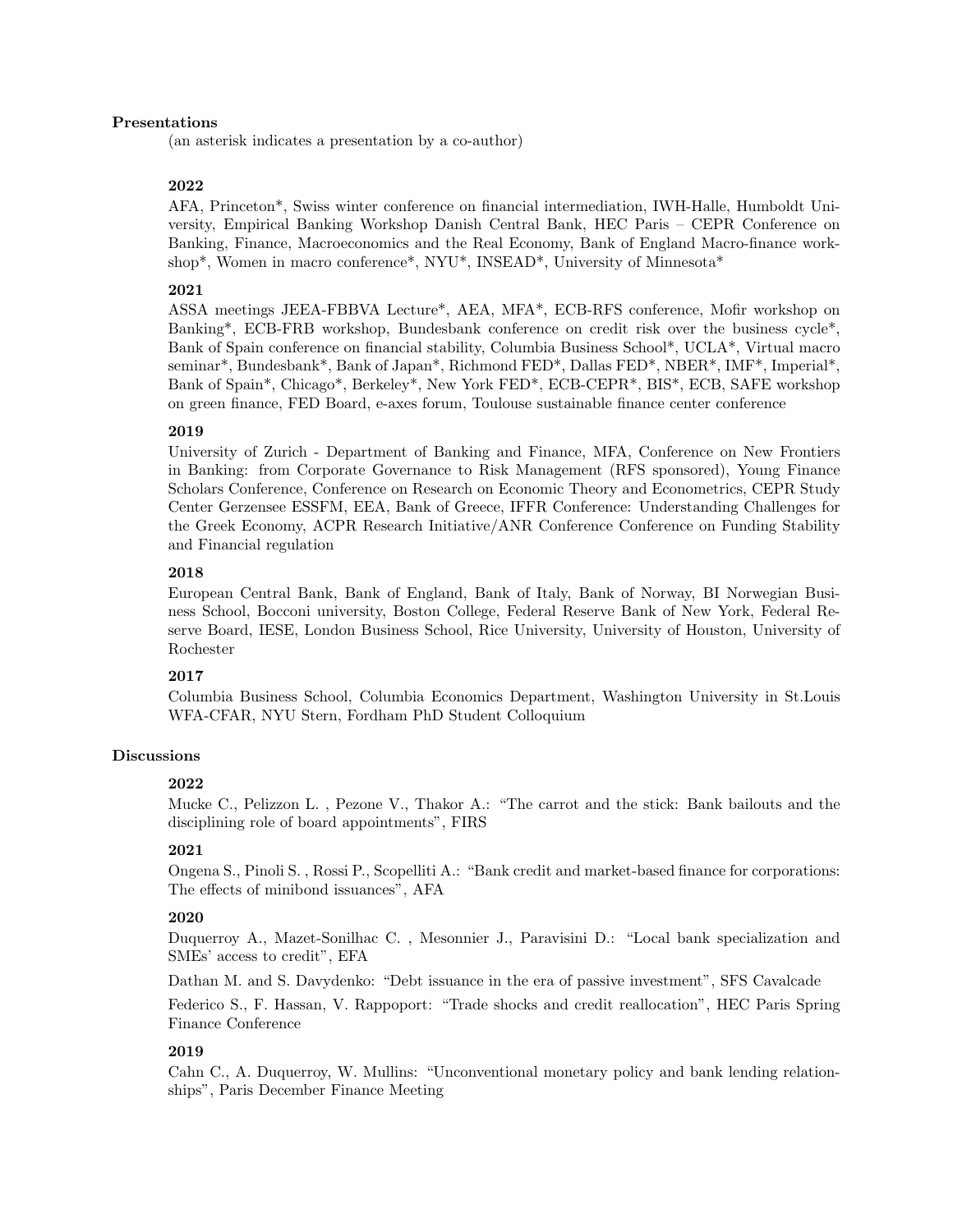#### Presentations

(an asterisk indicates a presentation by a co-author)

#### 2022

AFA, Princeton\*, Swiss winter conference on financial intermediation, IWH-Halle, Humboldt University, Empirical Banking Workshop Danish Central Bank, HEC Paris – CEPR Conference on Banking, Finance, Macroeconomics and the Real Economy, Bank of England Macro-finance workshop\*, Women in macro conference\*, NYU\*, INSEAD\*, University of Minnesota\*

## 2021

ASSA meetings JEEA-FBBVA Lecture\*, AEA, MFA\*, ECB-RFS conference, Mofir workshop on Banking\*, ECB-FRB workshop, Bundesbank conference on credit risk over the business cycle\*, Bank of Spain conference on financial stability, Columbia Business School\*, UCLA\*, Virtual macro seminar\*, Bundesbank\*, Bank of Japan\*, Richmond FED\*, Dallas FED\*, NBER\*, IMF\*, Imperial\*, Bank of Spain\*, Chicago\*, Berkeley\*, New York FED\*, ECB-CEPR\*, BIS\*, ECB, SAFE workshop on green finance, FED Board, e-axes forum, Toulouse sustainable finance center conference

#### 2019

University of Zurich - Department of Banking and Finance, MFA, Conference on New Frontiers in Banking: from Corporate Governance to Risk Management (RFS sponsored), Young Finance Scholars Conference, Conference on Research on Economic Theory and Econometrics, CEPR Study Center Gerzensee ESSFM, EEA, Bank of Greece, IFFR Conference: Understanding Challenges for the Greek Economy, ACPR Research Initiative/ANR Conference Conference on Funding Stability and Financial regulation

## 2018

European Central Bank, Bank of England, Bank of Italy, Bank of Norway, BI Norwegian Business School, Bocconi university, Boston College, Federal Reserve Bank of New York, Federal Reserve Board, IESE, London Business School, Rice University, University of Houston, University of Rochester

## 2017

Columbia Business School, Columbia Economics Department, Washington University in St.Louis WFA-CFAR, NYU Stern, Fordham PhD Student Colloquium

#### Discussions

#### 2022

Mucke C., Pelizzon L. , Pezone V., Thakor A.: "The carrot and the stick: Bank bailouts and the disciplining role of board appointments", FIRS

#### 2021

Ongena S., Pinoli S. , Rossi P., Scopelliti A.: "Bank credit and market-based finance for corporations: The effects of minibond issuances", AFA

#### 2020

Duquerroy A., Mazet-Sonilhac C. , Mesonnier J., Paravisini D.: "Local bank specialization and SMEs' access to credit", EFA

Dathan M. and S. Davydenko: "Debt issuance in the era of passive investment", SFS Cavalcade

Federico S., F. Hassan, V. Rappoport: "Trade shocks and credit reallocation", HEC Paris Spring Finance Conference

#### 2019

Cahn C., A. Duquerroy, W. Mullins: "Unconventional monetary policy and bank lending relationships", Paris December Finance Meeting